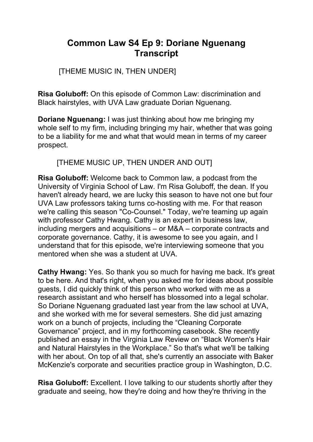# **Common Law S4 Ep 9: Doriane Nguenang Transcript**

## [THEME MUSIC IN, THEN UNDER]

**Risa Goluboff:** On this episode of Common Law: discrimination and Black hairstyles, with UVA Law graduate Dorian Nguenang.

**Doriane Nguenang:** I was just thinking about how me bringing my whole self to my firm, including bringing my hair, whether that was going to be a liability for me and what that would mean in terms of my career prospect.

[THEME MUSIC UP, THEN UNDER AND OUT]

**Risa Goluboff:** Welcome back to Common law, a podcast from the University of Virginia School of Law. I'm Risa Goluboff, the dean. If you haven't already heard, we are lucky this season to have not one but four UVA Law professors taking turns co-hosting with me. For that reason we're calling this season "Co-Counsel." Today, we're teaming up again with professor Cathy Hwang. Cathy is an expert in business law, including mergers and acquisitions – or M&A – corporate contracts and corporate governance. Cathy, it is awesome to see you again, and I understand that for this episode, we're interviewing someone that you mentored when she was a student at UVA.

**Cathy Hwang:** Yes. So thank you so much for having me back. It's great to be here. And that's right, when you asked me for ideas about possible guests, I did quickly think of this person who worked with me as a research assistant and who herself has blossomed into a legal scholar. So Doriane Nguenang graduated last year from the law school at UVA, and she worked with me for several semesters. She did just amazing work on a bunch of projects, including the "Cleaning Corporate Governance" project, and in my forthcoming casebook. She recently published an essay in the Virginia Law Review on "Black Women's Hair and Natural Hairstyles in the Workplace." So that's what we'll be talking with her about. On top of all that, she's currently an associate with Baker McKenzie's corporate and securities practice group in Washington, D.C.

**Risa Goluboff:** Excellent. I love talking to our students shortly after they graduate and seeing, how they're doing and how they're thriving in the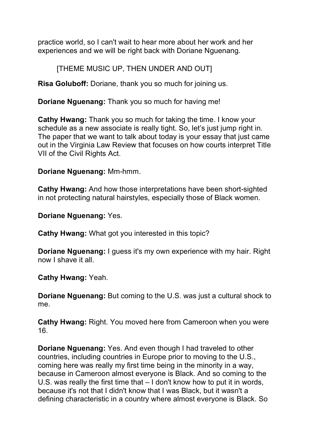practice world, so I can't wait to hear more about her work and her experiences and we will be right back with Doriane Nguenang.

[THEME MUSIC UP, THEN UNDER AND OUT]

**Risa Goluboff:** Doriane, thank you so much for joining us.

**Doriane Nguenang:** Thank you so much for having me!

**Cathy Hwang:** Thank you so much for taking the time. I know your schedule as a new associate is really tight. So, let's just jump right in. The paper that we want to talk about today is your essay that just came out in the Virginia Law Review that focuses on how courts interpret Title VII of the Civil Rights Act.

#### **Doriane Nguenang:** Mm-hmm.

**Cathy Hwang:** And how those interpretations have been short-sighted in not protecting natural hairstyles, especially those of Black women.

**Doriane Nguenang:** Yes.

**Cathy Hwang:** What got you interested in this topic?

**Doriane Nguenang:** I guess it's my own experience with my hair. Right now I shave it all.

**Cathy Hwang:** Yeah.

**Doriane Nguenang:** But coming to the U.S. was just a cultural shock to me.

**Cathy Hwang:** Right. You moved here from Cameroon when you were 16.

**Doriane Nguenang:** Yes. And even though I had traveled to other countries, including countries in Europe prior to moving to the U.S., coming here was really my first time being in the minority in a way, because in Cameroon almost everyone is Black. And so coming to the U.S. was really the first time that – I don't know how to put it in words, because it's not that I didn't know that I was Black, but it wasn't a defining characteristic in a country where almost everyone is Black. So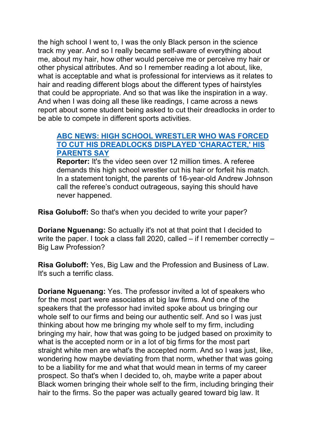the high school I went to, I was the only Black person in the science track my year. And so I really became self-aware of everything about me, about my hair, how other would perceive me or perceive my hair or other physical attributes. And so I remember reading a lot about, like, what is acceptable and what is professional for interviews as it relates to hair and reading different blogs about the different types of hairstyles that could be appropriate. And so that was like the inspiration in a way. And when I was doing all these like readings, I came across a news report about some student being asked to cut their dreadlocks in order to be able to compete in different sports activities.

#### **ABC NEWS: HIGH SCHOOL [WRESTLER WHO](https://abcnews.go.com/US/high-school-wrestler-forced-cut-dreadlocks-displayed-character/story?id=60001058#:%7E:text=LOG%20IN-,High%20school%20wrestler%20who%20was%20forced%20to%20cut%20his%20dreadlocks,ultimatum%20before%20his%20wrestling%20match.&text=The%20referee%20is%20suspended%20while,whether%20race%20was%20a%20factor.) WAS FORCED TO CUT HIS [DREADLOCKS](https://abcnews.go.com/US/high-school-wrestler-forced-cut-dreadlocks-displayed-character/story?id=60001058#:%7E:text=LOG%20IN-,High%20school%20wrestler%20who%20was%20forced%20to%20cut%20his%20dreadlocks,ultimatum%20before%20his%20wrestling%20match.&text=The%20referee%20is%20suspended%20while,whether%20race%20was%20a%20factor.) DISPLAYED 'CHARACTER,' HIS [PARENTS](https://abcnews.go.com/US/high-school-wrestler-forced-cut-dreadlocks-displayed-character/story?id=60001058#:%7E:text=LOG%20IN-,High%20school%20wrestler%20who%20was%20forced%20to%20cut%20his%20dreadlocks,ultimatum%20before%20his%20wrestling%20match.&text=The%20referee%20is%20suspended%20while,whether%20race%20was%20a%20factor.) SAY**

**Reporter:** It's the video seen over 12 million times. A referee demands this high school wrestler cut his hair or forfeit his match. In a statement tonight, the parents of 16-year-old Andrew Johnson call the referee's conduct outrageous, saying this should have never happened.

**Risa Goluboff:** So that's when you decided to write your paper?

**Doriane Nguenang:** So actually it's not at that point that I decided to write the paper. I took a class fall 2020, called – if I remember correctly – Big Law Profession?

**Risa Goluboff:** Yes, Big Law and the Profession and Business of Law. It's such a terrific class.

**Doriane Nguenang:** Yes. The professor invited a lot of speakers who for the most part were associates at big law firms. And one of the speakers that the professor had invited spoke about us bringing our whole self to our firms and being our authentic self. And so I was just thinking about how me bringing my whole self to my firm, including bringing my hair, how that was going to be judged based on proximity to what is the accepted norm or in a lot of big firms for the most part straight white men are what's the accepted norm. And so I was just, like, wondering how maybe deviating from that norm, whether that was going to be a liability for me and what that would mean in terms of my career prospect. So that's when I decided to, oh, maybe write a paper about Black women bringing their whole self to the firm, including bringing their hair to the firms. So the paper was actually geared toward big law. It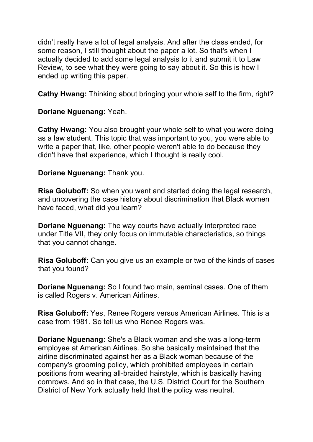didn't really have a lot of legal analysis. And after the class ended, for some reason, I still thought about the paper a lot. So that's when I actually decided to add some legal analysis to it and submit it to Law Review, to see what they were going to say about it. So this is how I ended up writing this paper.

**Cathy Hwang:** Thinking about bringing your whole self to the firm, right?

#### **Doriane Nguenang:** Yeah.

**Cathy Hwang:** You also brought your whole self to what you were doing as a law student. This topic that was important to you, you were able to write a paper that, like, other people weren't able to do because they didn't have that experience, which I thought is really cool.

#### **Doriane Nguenang:** Thank you.

**Risa Goluboff:** So when you went and started doing the legal research, and uncovering the case history about discrimination that Black women have faced, what did you learn?

**Doriane Nguenang:** The way courts have actually interpreted race under Title VII, they only focus on immutable characteristics, so things that you cannot change.

**Risa Goluboff:** Can you give us an example or two of the kinds of cases that you found?

**Doriane Nguenang:** So I found two main, seminal cases. One of them is called Rogers v. American Airlines.

**Risa Goluboff:** Yes, Renee Rogers versus American Airlines. This is a case from 1981. So tell us who Renee Rogers was.

**Doriane Nguenang:** She's a Black woman and she was a long-term employee at American Airlines. So she basically maintained that the airline discriminated against her as a Black woman because of the company's grooming policy, which prohibited employees in certain positions from wearing all-braided hairstyle, which is basically having cornrows. And so in that case, the U.S. District Court for the Southern District of New York actually held that the policy was neutral.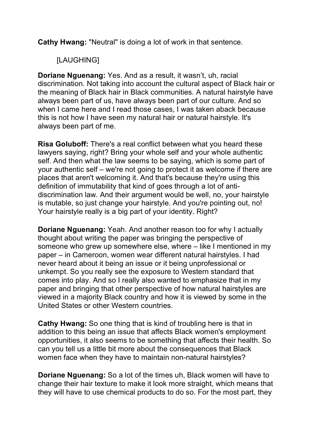**Cathy Hwang:** "Neutral" is doing a lot of work in that sentence.

## [LAUGHING]

**Doriane Nguenang:** Yes. And as a result, it wasn't, uh, racial discrimination. Not taking into account the cultural aspect of Black hair or the meaning of Black hair in Black communities. A natural hairstyle have always been part of us, have always been part of our culture. And so when I came here and I read those cases, I was taken aback because this is not how I have seen my natural hair or natural hairstyle. It's always been part of me.

**Risa Goluboff:** There's a real conflict between what you heard these lawyers saying, right? Bring your whole self and your whole authentic self. And then what the law seems to be saying, which is some part of your authentic self – we're not going to protect it as welcome if there are places that aren't welcoming it. And that's because they're using this definition of immutability that kind of goes through a lot of antidiscrimination law. And their argument would be well, no, your hairstyle is mutable, so just change your hairstyle. And you're pointing out, no! Your hairstyle really is a big part of your identity. Right?

**Doriane Nguenang:** Yeah. And another reason too for why I actually thought about writing the paper was bringing the perspective of someone who grew up somewhere else, where – like I mentioned in my paper – in Cameroon, women wear different natural hairstyles. I had never heard about it being an issue or it being unprofessional or unkempt. So you really see the exposure to Western standard that comes into play. And so I really also wanted to emphasize that in my paper and bringing that other perspective of how natural hairstyles are viewed in a majority Black country and how it is viewed by some in the United States or other Western countries.

**Cathy Hwang:** So one thing that is kind of troubling here is that in addition to this being an issue that affects Black women's employment opportunities, it also seems to be something that affects their health. So can you tell us a little bit more about the consequences that Black women face when they have to maintain non-natural hairstyles?

**Doriane Nguenang:** So a lot of the times uh, Black women will have to change their hair texture to make it look more straight, which means that they will have to use chemical products to do so. For the most part, they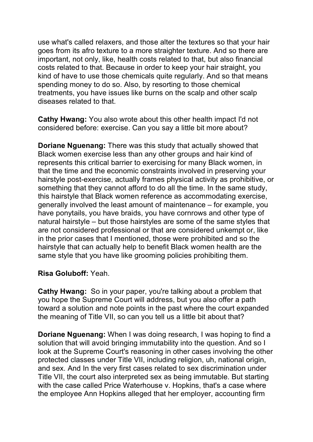use what's called relaxers, and those alter the textures so that your hair goes from its afro texture to a more straighter texture. And so there are important, not only, like, health costs related to that, but also financial costs related to that. Because in order to keep your hair straight, you kind of have to use those chemicals quite regularly. And so that means spending money to do so. Also, by resorting to those chemical treatments, you have issues like burns on the scalp and other scalp diseases related to that.

**Cathy Hwang:** You also wrote about this other health impact I'd not considered before: exercise. Can you say a little bit more about?

**Doriane Nguenang:** There was this study that actually showed that Black women exercise less than any other groups and hair kind of represents this critical barrier to exercising for many Black women, in that the time and the economic constraints involved in preserving your hairstyle post-exercise, actually frames physical activity as prohibitive, or something that they cannot afford to do all the time. In the same study, this hairstyle that Black women reference as accommodating exercise, generally involved the least amount of maintenance – for example, you have ponytails, you have braids, you have cornrows and other type of natural hairstyle – but those hairstyles are some of the same styles that are not considered professional or that are considered unkempt or, like in the prior cases that I mentioned, those were prohibited and so the hairstyle that can actually help to benefit Black women health are the same style that you have like grooming policies prohibiting them.

#### **Risa Goluboff:** Yeah.

**Cathy Hwang:** So in your paper, you're talking about a problem that you hope the Supreme Court will address, but you also offer a path toward a solution and note points in the past where the court expanded the meaning of Title VII, so can you tell us a little bit about that?

**Doriane Nguenang:** When I was doing research, I was hoping to find a solution that will avoid bringing immutability into the question. And so I look at the Supreme Court's reasoning in other cases involving the other protected classes under Title VII, including religion, uh, national origin, and sex. And In the very first cases related to sex discrimination under Title VII, the court also interpreted sex as being immutable. But starting with the case called Price Waterhouse v. Hopkins, that's a case where the employee Ann Hopkins alleged that her employer, accounting firm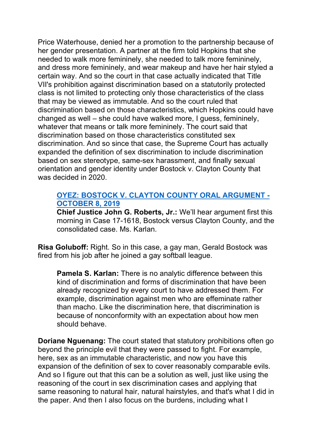Price Waterhouse, denied her a promotion to the partnership because of her gender presentation. A partner at the firm told Hopkins that she needed to walk more femininely, she needed to talk more femininely, and dress more femininely, and wear makeup and have her hair styled a certain way. And so the court in that case actually indicated that Title VII's prohibition against discrimination based on a statutorily protected class is not limited to protecting only those characteristics of the class that may be viewed as immutable. And so the court ruled that discrimination based on those characteristics, which Hopkins could have changed as well – she could have walked more, I guess, femininely, whatever that means or talk more femininely. The court said that discrimination based on those characteristics constituted sex discrimination. And so since that case, the Supreme Court has actually expanded the definition of sex discrimination to include discrimination based on sex stereotype, same-sex harassment, and finally sexual orientation and gender identity under Bostock v. Clayton County that was decided in 2020.

#### **OYEZ: BOSTOCK V. CLAYTON COUNTY ORAL [ARGUMENT -](https://www.oyez.org/cases/2019/17-1618)  [OCTOBER](https://www.oyez.org/cases/2019/17-1618) 8, 2019**

**Chief Justice John G. Roberts, Jr.:** We'll hear argument first this morning in Case 17-1618, Bostock versus Clayton County, and the consolidated case. Ms. Karlan.

**Risa Goluboff:** Right. So in this case, a gay man, Gerald Bostock was fired from his job after he joined a gay softball league.

**Pamela S. Karlan:** There is no analytic difference between this kind of discrimination and forms of discrimination that have been already recognized by every court to have addressed them. For example, discrimination against men who are effeminate rather than macho. Like the discrimination here, that discrimination is because of nonconformity with an expectation about how men should behave.

**Doriane Nguenang:** The court stated that statutory prohibitions often go beyond the principle evil that they were passed to fight. For example, here, sex as an immutable characteristic, and now you have this expansion of the definition of sex to cover reasonably comparable evils. And so I figure out that this can be a solution as well, just like using the reasoning of the court in sex discrimination cases and applying that same reasoning to natural hair, natural hairstyles, and that's what I did in the paper. And then I also focus on the burdens, including what I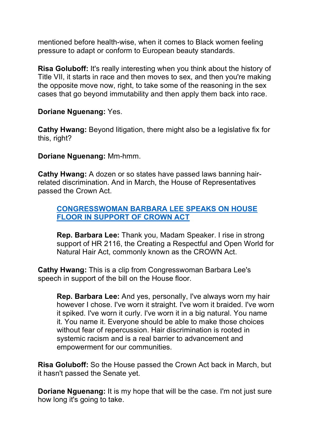mentioned before health-wise, when it comes to Black women feeling pressure to adapt or conform to European beauty standards.

**Risa Goluboff:** It's really interesting when you think about the history of Title VII, it starts in race and then moves to sex, and then you're making the opposite move now, right, to take some of the reasoning in the sex cases that go beyond immutability and then apply them back into race.

**Doriane Nguenang:** Yes.

**Cathy Hwang:** Beyond litigation, there might also be a legislative fix for this, right?

**Doriane Nguenang:** Mm-hmm.

**Cathy Hwang:** A dozen or so states have passed laws banning hairrelated discrimination. And in March, the House of Representatives passed the Crown Act.

#### **[CONGRESSWOMAN](https://www.youtube.com/watch?v=H9JIlVP_xnU) BARBARA LEE SPEAKS ON HOUSE FLOOR IN [SUPPORT](https://www.youtube.com/watch?v=H9JIlVP_xnU) OF CROWN ACT**

**Rep. Barbara Lee:** Thank you, Madam Speaker. I rise in strong support of HR 2116, the Creating a Respectful and Open World for Natural Hair Act, commonly known as the CROWN Act.

**Cathy Hwang:** This is a clip from Congresswoman Barbara Lee's speech in support of the bill on the House floor.

**Rep. Barbara Lee:** And yes, personally, I've always worn my hair however I chose. I've worn it straight. I've worn it braided. I've worn it spiked. I've worn it curly. I've worn it in a big natural. You name it. You name it. Everyone should be able to make those choices without fear of repercussion. Hair discrimination is rooted in systemic racism and is a real barrier to advancement and empowerment for our communities.

**Risa Goluboff:** So the House passed the Crown Act back in March, but it hasn't passed the Senate yet.

**Doriane Nguenang:** It is my hope that will be the case. I'm not just sure how long it's going to take.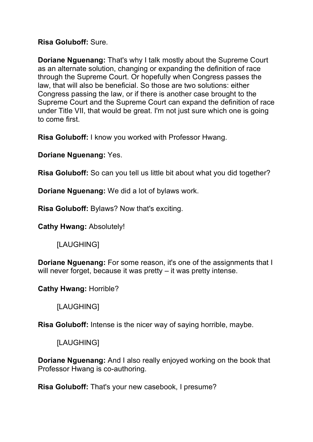#### **Risa Goluboff:** Sure.

**Doriane Nguenang:** That's why I talk mostly about the Supreme Court as an alternate solution, changing or expanding the definition of race through the Supreme Court. Or hopefully when Congress passes the law, that will also be beneficial. So those are two solutions: either Congress passing the law, or if there is another case brought to the Supreme Court and the Supreme Court can expand the definition of race under Title VII, that would be great. I'm not just sure which one is going to come first.

**Risa Goluboff:** I know you worked with Professor Hwang.

**Doriane Nguenang:** Yes.

**Risa Goluboff:** So can you tell us little bit about what you did together?

**Doriane Nguenang:** We did a lot of bylaws work.

**Risa Goluboff:** Bylaws? Now that's exciting.

**Cathy Hwang:** Absolutely!

[LAUGHING]

**Doriane Nguenang:** For some reason, it's one of the assignments that I will never forget, because it was pretty – it was pretty intense.

**Cathy Hwang:** Horrible?

[LAUGHING]

**Risa Goluboff:** Intense is the nicer way of saying horrible, maybe.

[LAUGHING]

**Doriane Nguenang:** And I also really enjoyed working on the book that Professor Hwang is co-authoring.

**Risa Goluboff:** That's your new casebook, I presume?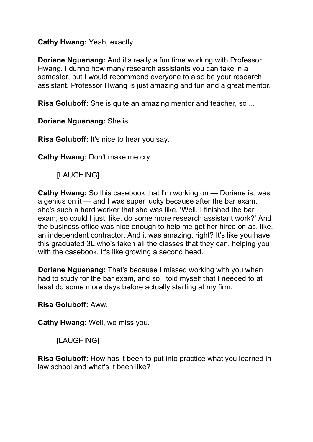#### **Cathy Hwang:** Yeah, exactly.

**Doriane Nguenang:** And it's really a fun time working with Professor Hwang. I dunno how many research assistants you can take in a semester, but I would recommend everyone to also be your research assistant. Professor Hwang is just amazing and fun and a great mentor.

**Risa Goluboff:** She is quite an amazing mentor and teacher, so ...

#### **Doriane Nguenang:** She is.

**Risa Goluboff:** It's nice to hear you say.

**Cathy Hwang:** Don't make me cry.

[LAUGHING]

**Cathy Hwang:** So this casebook that I'm working on — Doriane is, was a genius on it — and I was super lucky because after the bar exam, she's such a hard worker that she was like, 'Well, I finished the bar exam, so could I just, like, do some more research assistant work?' And the business office was nice enough to help me get her hired on as, like, an independent contractor. And it was amazing, right? It's like you have this graduated 3L who's taken all the classes that they can, helping you with the casebook. It's like growing a second head.

**Doriane Nguenang:** That's because I missed working with you when I had to study for the bar exam, and so I told myself that I needed to at least do some more days before actually starting at my firm.

**Risa Goluboff:** Aww.

**Cathy Hwang:** Well, we miss you.

## [LAUGHING]

**Risa Goluboff:** How has it been to put into practice what you learned in law school and what's it been like?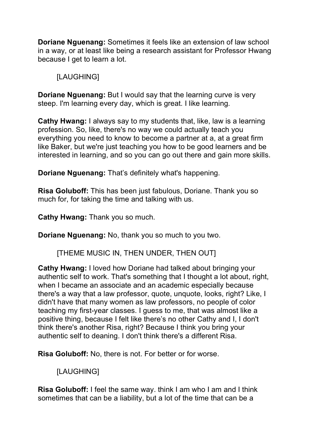**Doriane Nguenang:** Sometimes it feels like an extension of law school in a way, or at least like being a research assistant for Professor Hwang because I get to learn a lot.

## [LAUGHING]

**Doriane Nguenang:** But I would say that the learning curve is very steep. I'm learning every day, which is great. I like learning.

**Cathy Hwang:** I always say to my students that, like, law is a learning profession. So, like, there's no way we could actually teach you everything you need to know to become a partner at a, at a great firm like Baker, but we're just teaching you how to be good learners and be interested in learning, and so you can go out there and gain more skills.

**Doriane Nguenang:** That's definitely what's happening.

**Risa Goluboff:** This has been just fabulous, Doriane. Thank you so much for, for taking the time and talking with us.

**Cathy Hwang:** Thank you so much.

**Doriane Nguenang:** No, thank you so much to you two.

[THEME MUSIC IN, THEN UNDER, THEN OUT]

**Cathy Hwang:** I loved how Doriane had talked about bringing your authentic self to work. That's something that I thought a lot about, right, when I became an associate and an academic especially because there's a way that a law professor, quote, unquote, looks, right? Like, I didn't have that many women as law professors, no people of color teaching my first-year classes. I guess to me, that was almost like a positive thing, because I felt like there's no other Cathy and I, I don't think there's another Risa, right? Because I think you bring your authentic self to deaning. I don't think there's a different Risa.

**Risa Goluboff:** No, there is not. For better or for worse.

[LAUGHING]

**Risa Goluboff:** I feel the same way. think I am who I am and I think sometimes that can be a liability, but a lot of the time that can be a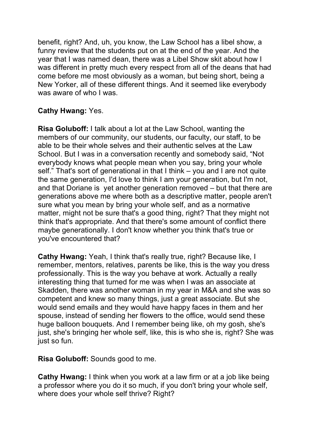benefit, right? And, uh, you know, the Law School has a libel show, a funny review that the students put on at the end of the year. And the year that I was named dean, there was a Libel Show skit about how I was different in pretty much every respect from all of the deans that had come before me most obviously as a woman, but being short, being a New Yorker, all of these different things. And it seemed like everybody was aware of who I was.

### **Cathy Hwang:** Yes.

**Risa Goluboff:** I talk about a lot at the Law School, wanting the members of our community, our students, our faculty, our staff, to be able to be their whole selves and their authentic selves at the Law School. But I was in a conversation recently and somebody said, "Not everybody knows what people mean when you say, bring your whole self." That's sort of generational in that I think – you and I are not quite the same generation, I'd love to think I am your generation, but I'm not, and that Doriane is yet another generation removed – but that there are generations above me where both as a descriptive matter, people aren't sure what you mean by bring your whole self, and as a normative matter, might not be sure that's a good thing, right? That they might not think that's appropriate. And that there's some amount of conflict there maybe generationally. I don't know whether you think that's true or you've encountered that?

**Cathy Hwang:** Yeah, I think that's really true, right? Because like, I remember, mentors, relatives, parents be like, this is the way you dress professionally. This is the way you behave at work. Actually a really interesting thing that turned for me was when I was an associate at Skadden, there was another woman in my year in M&A and she was so competent and knew so many things, just a great associate. But she would send emails and they would have happy faces in them and her spouse, instead of sending her flowers to the office, would send these huge balloon bouquets. And I remember being like, oh my gosh, she's just, she's bringing her whole self, like, this is who she is, right? She was just so fun.

**Risa Goluboff:** Sounds good to me.

**Cathy Hwang:** I think when you work at a law firm or at a job like being a professor where you do it so much, if you don't bring your whole self, where does your whole self thrive? Right?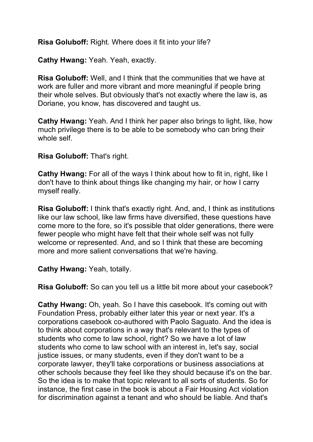**Risa Goluboff:** Right. Where does it fit into your life?

**Cathy Hwang:** Yeah. Yeah, exactly.

**Risa Goluboff:** Well, and I think that the communities that we have at work are fuller and more vibrant and more meaningful if people bring their whole selves. But obviously that's not exactly where the law is, as Doriane, you know, has discovered and taught us.

**Cathy Hwang:** Yeah. And I think her paper also brings to light, like, how much privilege there is to be able to be somebody who can bring their whole self.

**Risa Goluboff:** That's right.

**Cathy Hwang:** For all of the ways I think about how to fit in, right, like I don't have to think about things like changing my hair, or how I carry myself really.

**Risa Goluboff:** I think that's exactly right. And, and, I think as institutions like our law school, like law firms have diversified, these questions have come more to the fore, so it's possible that older generations, there were fewer people who might have felt that their whole self was not fully welcome or represented. And, and so I think that these are becoming more and more salient conversations that we're having.

**Cathy Hwang:** Yeah, totally.

**Risa Goluboff:** So can you tell us a little bit more about your casebook?

**Cathy Hwang:** Oh, yeah. So I have this casebook. It's coming out with Foundation Press, probably either later this year or next year. It's a corporations casebook co-authored with Paolo Saguato. And the idea is to think about corporations in a way that's relevant to the types of students who come to law school, right? So we have a lot of law students who come to law school with an interest in, let's say, social justice issues, or many students, even if they don't want to be a corporate lawyer, they'll take corporations or business associations at other schools because they feel like they should because it's on the bar. So the idea is to make that topic relevant to all sorts of students. So for instance, the first case in the book is about a Fair Housing Act violation for discrimination against a tenant and who should be liable. And that's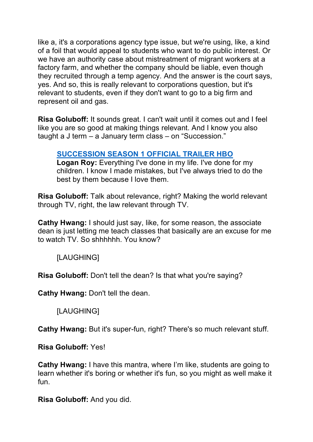like a, it's a corporations agency type issue, but we're using, like, a kind of a foil that would appeal to students who want to do public interest. Or we have an authority case about mistreatment of migrant workers at a factory farm, and whether the company should be liable, even though they recruited through a temp agency. And the answer is the court says, yes. And so, this is really relevant to corporations question, but it's relevant to students, even if they don't want to go to a big firm and represent oil and gas.

**Risa Goluboff:** It sounds great. I can't wait until it comes out and I feel like you are so good at making things relevant. And I know you also taught a J term – a January term class – on "Succession."

### **SUCCESSION [SEASON 1 OFFICIAL](https://www.youtube.com/watch?v=OzYxJV_rmE8) TRAILER HBO**

**Logan Roy:** Everything I've done in my life. I've done for my children. I know I made mistakes, but I've always tried to do the best by them because I love them.

**Risa Goluboff:** Talk about relevance, right? Making the world relevant through TV, right, the law relevant through TV.

**Cathy Hwang:** I should just say, like, for some reason, the associate dean is just letting me teach classes that basically are an excuse for me to watch TV. So shhhhhh. You know?

[LAUGHING]

**Risa Goluboff:** Don't tell the dean? Is that what you're saying?

**Cathy Hwang:** Don't tell the dean.

[LAUGHING]

**Cathy Hwang:** But it's super-fun, right? There's so much relevant stuff.

**Risa Goluboff:** Yes!

**Cathy Hwang:** I have this mantra, where I'm like, students are going to learn whether it's boring or whether it's fun, so you might as well make it fun.

**Risa Goluboff:** And you did.